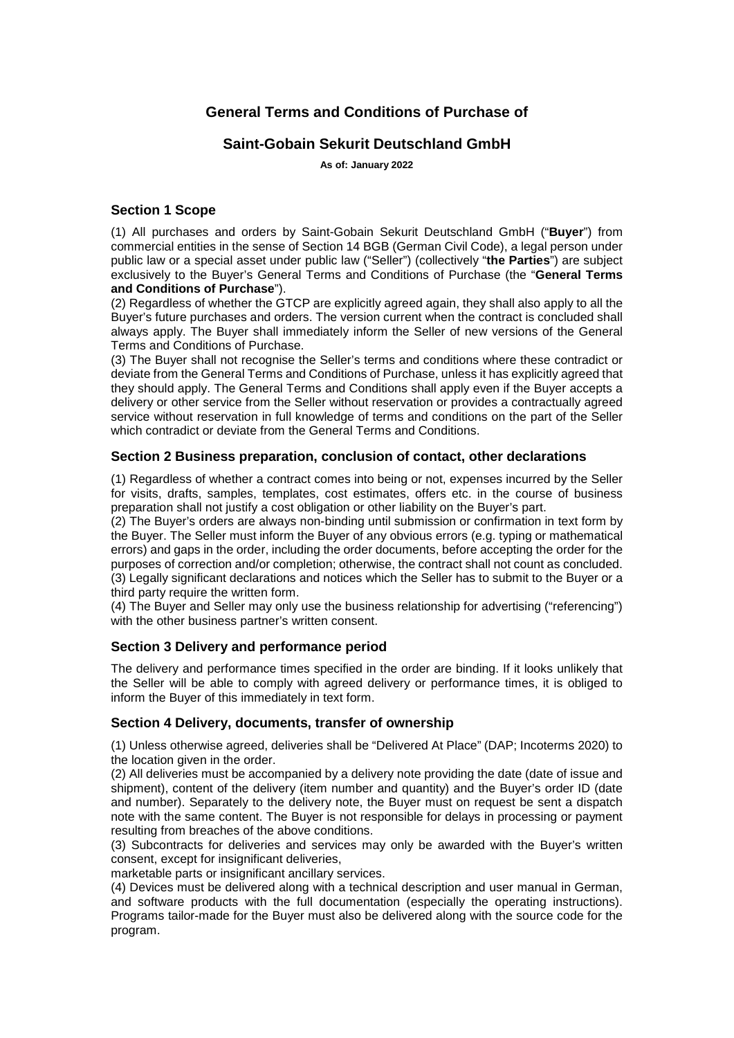# **General Terms and Conditions of Purchase of**

# **Saint-Gobain Sekurit Deutschland GmbH**

**As of: January 2022**

### **Section 1 Scope**

(1) All purchases and orders by Saint-Gobain Sekurit Deutschland GmbH ("**Buyer**") from commercial entities in the sense of Section 14 BGB (German Civil Code), a legal person under public law or a special asset under public law ("Seller") (collectively "**the Parties**") are subject exclusively to the Buyer's General Terms and Conditions of Purchase (the "**General Terms and Conditions of Purchase**").

(2) Regardless of whether the GTCP are explicitly agreed again, they shall also apply to all the Buyer's future purchases and orders. The version current when the contract is concluded shall always apply. The Buyer shall immediately inform the Seller of new versions of the General Terms and Conditions of Purchase.

(3) The Buyer shall not recognise the Seller's terms and conditions where these contradict or deviate from the General Terms and Conditions of Purchase, unless it has explicitly agreed that they should apply. The General Terms and Conditions shall apply even if the Buyer accepts a delivery or other service from the Seller without reservation or provides a contractually agreed service without reservation in full knowledge of terms and conditions on the part of the Seller which contradict or deviate from the General Terms and Conditions.

#### **Section 2 Business preparation, conclusion of contact, other declarations**

(1) Regardless of whether a contract comes into being or not, expenses incurred by the Seller for visits, drafts, samples, templates, cost estimates, offers etc. in the course of business preparation shall not justify a cost obligation or other liability on the Buyer's part.

(2) The Buyer's orders are always non-binding until submission or confirmation in text form by the Buyer. The Seller must inform the Buyer of any obvious errors (e.g. typing or mathematical errors) and gaps in the order, including the order documents, before accepting the order for the purposes of correction and/or completion; otherwise, the contract shall not count as concluded. (3) Legally significant declarations and notices which the Seller has to submit to the Buyer or a third party require the written form.

(4) The Buyer and Seller may only use the business relationship for advertising ("referencing") with the other business partner's written consent.

#### **Section 3 Delivery and performance period**

The delivery and performance times specified in the order are binding. If it looks unlikely that the Seller will be able to comply with agreed delivery or performance times, it is obliged to inform the Buyer of this immediately in text form.

#### **Section 4 Delivery, documents, transfer of ownership**

(1) Unless otherwise agreed, deliveries shall be "Delivered At Place" (DAP; Incoterms 2020) to the location given in the order.

(2) All deliveries must be accompanied by a delivery note providing the date (date of issue and shipment), content of the delivery (item number and quantity) and the Buyer's order ID (date and number). Separately to the delivery note, the Buyer must on request be sent a dispatch note with the same content. The Buyer is not responsible for delays in processing or payment resulting from breaches of the above conditions.

(3) Subcontracts for deliveries and services may only be awarded with the Buyer's written consent, except for insignificant deliveries,

marketable parts or insignificant ancillary services.

(4) Devices must be delivered along with a technical description and user manual in German, and software products with the full documentation (especially the operating instructions). Programs tailor-made for the Buyer must also be delivered along with the source code for the program.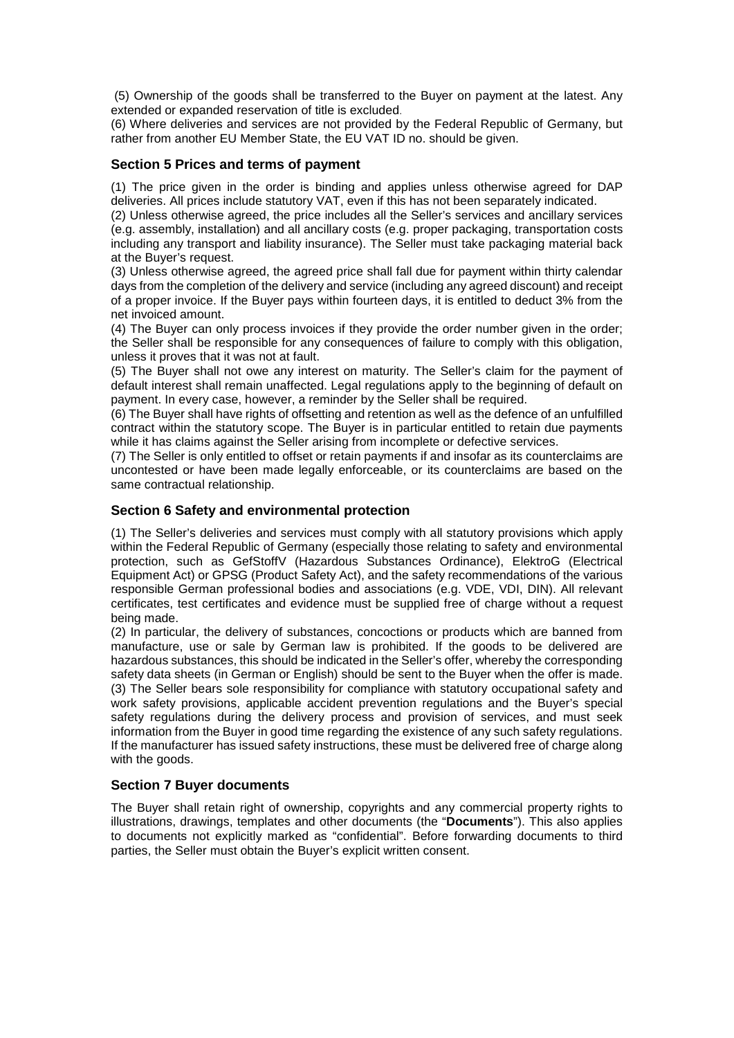(5) Ownership of the goods shall be transferred to the Buyer on payment at the latest. Any extended or expanded reservation of title is excluded.

(6) Where deliveries and services are not provided by the Federal Republic of Germany, but rather from another EU Member State, the EU VAT ID no. should be given.

#### **Section 5 Prices and terms of payment**

(1) The price given in the order is binding and applies unless otherwise agreed for DAP deliveries. All prices include statutory VAT, even if this has not been separately indicated.

(2) Unless otherwise agreed, the price includes all the Seller's services and ancillary services (e.g. assembly, installation) and all ancillary costs (e.g. proper packaging, transportation costs including any transport and liability insurance). The Seller must take packaging material back at the Buyer's request.

(3) Unless otherwise agreed, the agreed price shall fall due for payment within thirty calendar days from the completion of the delivery and service (including any agreed discount) and receipt of a proper invoice. If the Buyer pays within fourteen days, it is entitled to deduct 3% from the net invoiced amount.

(4) The Buyer can only process invoices if they provide the order number given in the order; the Seller shall be responsible for any consequences of failure to comply with this obligation, unless it proves that it was not at fault.

(5) The Buyer shall not owe any interest on maturity. The Seller's claim for the payment of default interest shall remain unaffected. Legal regulations apply to the beginning of default on payment. In every case, however, a reminder by the Seller shall be required.

(6) The Buyer shall have rights of offsetting and retention as well as the defence of an unfulfilled contract within the statutory scope. The Buyer is in particular entitled to retain due payments while it has claims against the Seller arising from incomplete or defective services.

(7) The Seller is only entitled to offset or retain payments if and insofar as its counterclaims are uncontested or have been made legally enforceable, or its counterclaims are based on the same contractual relationship.

#### **Section 6 Safety and environmental protection**

(1) The Seller's deliveries and services must comply with all statutory provisions which apply within the Federal Republic of Germany (especially those relating to safety and environmental protection, such as GefStoffV (Hazardous Substances Ordinance), ElektroG (Electrical Equipment Act) or GPSG (Product Safety Act), and the safety recommendations of the various responsible German professional bodies and associations (e.g. VDE, VDI, DIN). All relevant certificates, test certificates and evidence must be supplied free of charge without a request being made.

(2) In particular, the delivery of substances, concoctions or products which are banned from manufacture, use or sale by German law is prohibited. If the goods to be delivered are hazardous substances, this should be indicated in the Seller's offer, whereby the corresponding safety data sheets (in German or English) should be sent to the Buyer when the offer is made. (3) The Seller bears sole responsibility for compliance with statutory occupational safety and work safety provisions, applicable accident prevention regulations and the Buyer's special safety regulations during the delivery process and provision of services, and must seek information from the Buyer in good time regarding the existence of any such safety regulations. If the manufacturer has issued safety instructions, these must be delivered free of charge along with the goods.

#### **Section 7 Buyer documents**

The Buyer shall retain right of ownership, copyrights and any commercial property rights to illustrations, drawings, templates and other documents (the "**Documents**"). This also applies to documents not explicitly marked as "confidential". Before forwarding documents to third parties, the Seller must obtain the Buyer's explicit written consent.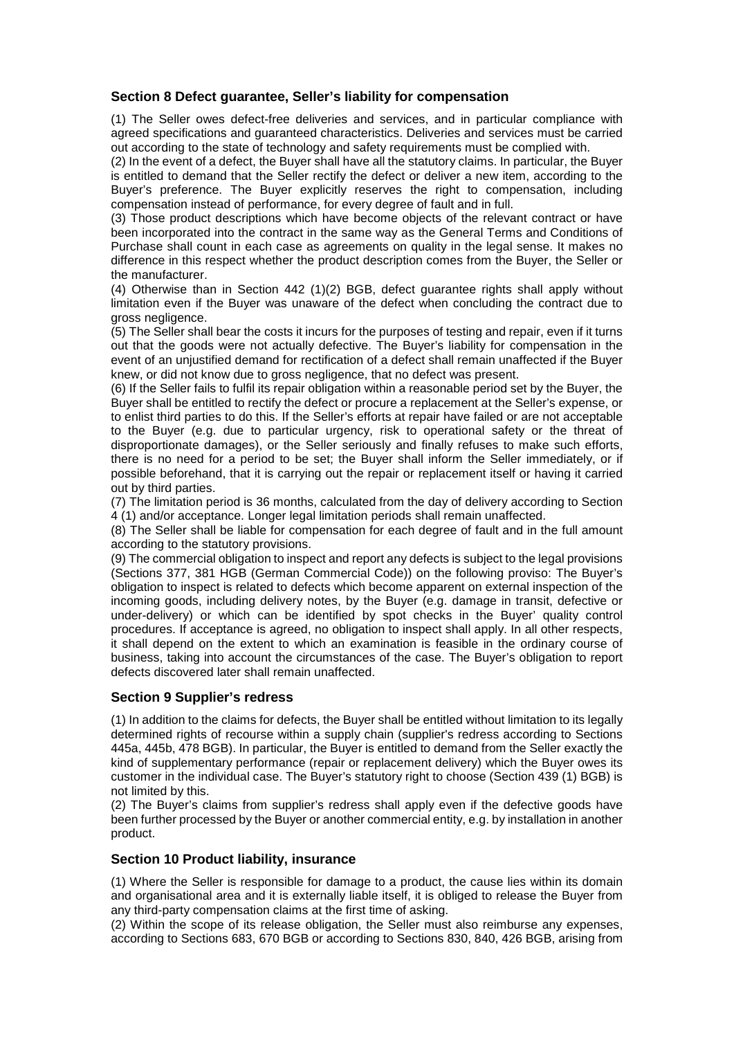# **Section 8 Defect guarantee, Seller's liability for compensation**

(1) The Seller owes defect-free deliveries and services, and in particular compliance with agreed specifications and guaranteed characteristics. Deliveries and services must be carried out according to the state of technology and safety requirements must be complied with.

(2) In the event of a defect, the Buyer shall have all the statutory claims. In particular, the Buyer is entitled to demand that the Seller rectify the defect or deliver a new item, according to the Buyer's preference. The Buyer explicitly reserves the right to compensation, including compensation instead of performance, for every degree of fault and in full.

(3) Those product descriptions which have become objects of the relevant contract or have been incorporated into the contract in the same way as the General Terms and Conditions of Purchase shall count in each case as agreements on quality in the legal sense. It makes no difference in this respect whether the product description comes from the Buyer, the Seller or the manufacturer.

(4) Otherwise than in Section 442 (1)(2) BGB, defect guarantee rights shall apply without limitation even if the Buyer was unaware of the defect when concluding the contract due to gross negligence.

(5) The Seller shall bear the costs it incurs for the purposes of testing and repair, even if it turns out that the goods were not actually defective. The Buyer's liability for compensation in the event of an unjustified demand for rectification of a defect shall remain unaffected if the Buyer knew, or did not know due to gross negligence, that no defect was present.

(6) If the Seller fails to fulfil its repair obligation within a reasonable period set by the Buyer, the Buyer shall be entitled to rectify the defect or procure a replacement at the Seller's expense, or to enlist third parties to do this. If the Seller's efforts at repair have failed or are not acceptable to the Buyer (e.g. due to particular urgency, risk to operational safety or the threat of disproportionate damages), or the Seller seriously and finally refuses to make such efforts, there is no need for a period to be set; the Buyer shall inform the Seller immediately, or if possible beforehand, that it is carrying out the repair or replacement itself or having it carried out by third parties.

(7) The limitation period is 36 months, calculated from the day of delivery according to Section 4 (1) and/or acceptance. Longer legal limitation periods shall remain unaffected.

(8) The Seller shall be liable for compensation for each degree of fault and in the full amount according to the statutory provisions.

(9) The commercial obligation to inspect and report any defects is subject to the legal provisions (Sections 377, 381 HGB (German Commercial Code)) on the following proviso: The Buyer's obligation to inspect is related to defects which become apparent on external inspection of the incoming goods, including delivery notes, by the Buyer (e.g. damage in transit, defective or under-delivery) or which can be identified by spot checks in the Buyer' quality control procedures. If acceptance is agreed, no obligation to inspect shall apply. In all other respects, it shall depend on the extent to which an examination is feasible in the ordinary course of business, taking into account the circumstances of the case. The Buyer's obligation to report defects discovered later shall remain unaffected.

#### **Section 9 Supplier's redress**

(1) In addition to the claims for defects, the Buyer shall be entitled without limitation to its legally determined rights of recourse within a supply chain (supplier's redress according to Sections 445a, 445b, 478 BGB). In particular, the Buyer is entitled to demand from the Seller exactly the kind of supplementary performance (repair or replacement delivery) which the Buyer owes its customer in the individual case. The Buyer's statutory right to choose (Section 439 (1) BGB) is not limited by this.

(2) The Buyer's claims from supplier's redress shall apply even if the defective goods have been further processed by the Buyer or another commercial entity, e.g. by installation in another product.

#### **Section 10 Product liability, insurance**

(1) Where the Seller is responsible for damage to a product, the cause lies within its domain and organisational area and it is externally liable itself, it is obliged to release the Buyer from any third-party compensation claims at the first time of asking.

(2) Within the scope of its release obligation, the Seller must also reimburse any expenses, according to Sections 683, 670 BGB or according to Sections 830, 840, 426 BGB, arising from